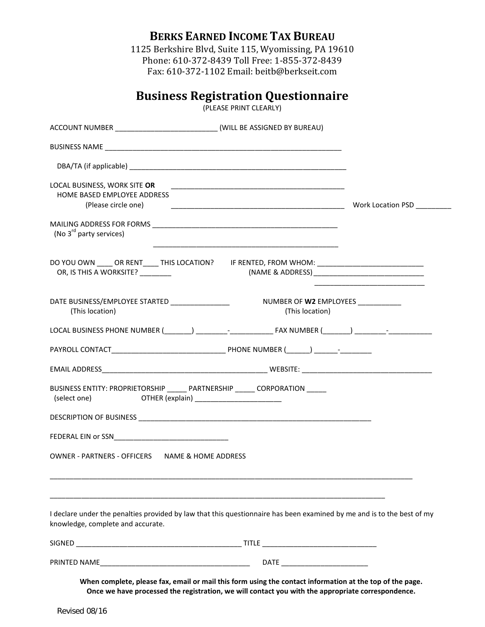**BERKS EARNED INCOME TAX BUREAU**

1125 Berkshire Blvd, Suite 115, Wyomissing, PA 19610 Phone: 610-372-8439 Toll Free: 1-855-372-8439 Fax: 610-372-1102 Email: beitb@berkseit.com

## **Business Registration Questionnaire**

(PLEASE PRINT CLEARLY)

| ACCOUNT NUMBER ____________________________(WILL BE ASSIGNED BY BUREAU)            |                                                                                                                                                                                                                                                 |  |
|------------------------------------------------------------------------------------|-------------------------------------------------------------------------------------------------------------------------------------------------------------------------------------------------------------------------------------------------|--|
|                                                                                    |                                                                                                                                                                                                                                                 |  |
|                                                                                    |                                                                                                                                                                                                                                                 |  |
| LOCAL BUSINESS, WORK SITE OR<br>HOME BASED EMPLOYEE ADDRESS<br>(Please circle one) | <u> 1989 - Johann Barn, mars an t-Amerikaansk politiker (* 1908)</u>                                                                                                                                                                            |  |
| (No 3 <sup>rd</sup> party services)                                                |                                                                                                                                                                                                                                                 |  |
| OR, IS THIS A WORKSITE? ________                                                   | DO YOU OWN _____ OR RENT_____ THIS LOCATION? HE RENTED, FROM WHOM: _________________________________                                                                                                                                            |  |
| DATE BUSINESS/EMPLOYEE STARTED _________________<br>(This location)                | NUMBER OF W2 EMPLOYEES ___________<br>(This location)                                                                                                                                                                                           |  |
|                                                                                    |                                                                                                                                                                                                                                                 |  |
|                                                                                    |                                                                                                                                                                                                                                                 |  |
|                                                                                    |                                                                                                                                                                                                                                                 |  |
| (select one) OTHER (explain) ________________________                              | BUSINESS ENTITY: PROPRIETORSHIP ______ PARTNERSHIP _____ CORPORATION _____                                                                                                                                                                      |  |
|                                                                                    |                                                                                                                                                                                                                                                 |  |
|                                                                                    |                                                                                                                                                                                                                                                 |  |
| OWNER - PARTNERS - OFFICERS NAME & HOME ADDRESS                                    |                                                                                                                                                                                                                                                 |  |
| knowledge, complete and accurate.                                                  | <u> 1989 - Johann Barn, mars ar breithinn ar chomhair an chomhair an chomhair an chomhair an chomhair an chomhair</u><br>I declare under the penalties provided by law that this questionnaire has been examined by me and is to the best of my |  |
|                                                                                    |                                                                                                                                                                                                                                                 |  |
|                                                                                    |                                                                                                                                                                                                                                                 |  |
|                                                                                    | When complete, please fax, email or mail this form using the contact information at the top of the page.<br>Once we have processed the registration, we will contact you with the appropriate correspondence.                                   |  |